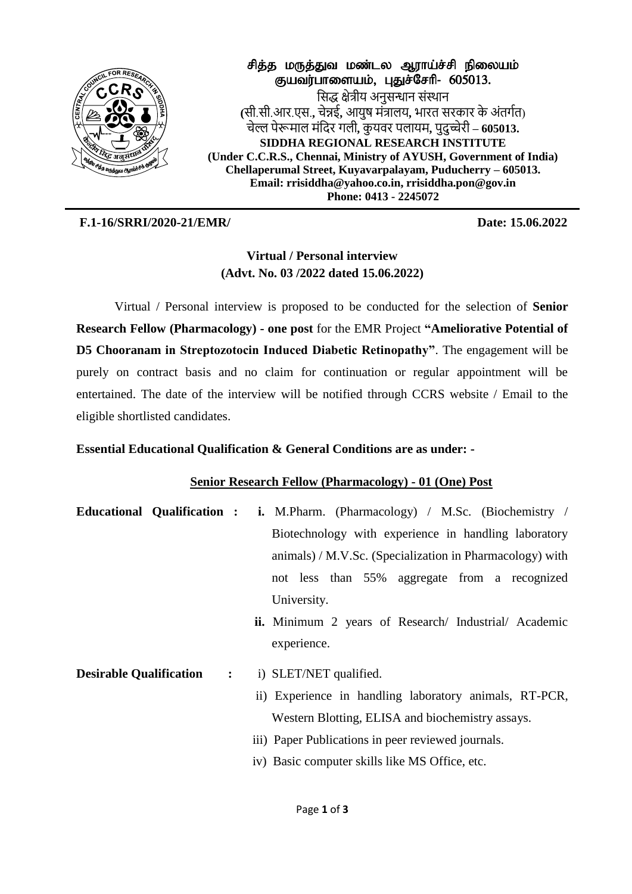

சித்த மருத்துவ மண்டல ஆராய்ச்சி நிலையம் குயவர்பாளையம், பதுச்சேரி- 605013. सिद्ध क्षेत्रीय अनुसन्धान संस्थान **(**िी.िी.आर.एि.**,** चेन्नई**,** आयुष मंत्रालय**,** भारत िरकार के अंतर्गत) चेल्ल पेरूमाल मंसदर र्ली**,** कु यवर पलायम**,** पुदुच्चेरी **– 605013. SIDDHA REGIONAL RESEARCH INSTITUTE (Under C.C.R.S., Chennai, Ministry of AYUSH, Government of India) Chellaperumal Street, Kuyavarpalayam, Puducherry – 605013. Email: rrisiddha@yahoo.co.in, rrisiddha.pon@gov.in Phone: 0413 - 2245072** 

**F.1-16/SRRI/2020-21/EMR/ Date: 15.06.2022**

# **Virtual / Personal interview (Advt. No. 03 /2022 dated 15.06.2022)**

Virtual / Personal interview is proposed to be conducted for the selection of **Senior Research Fellow (Pharmacology) - one post** for the EMR Project **"Ameliorative Potential of D5 Chooranam in Streptozotocin Induced Diabetic Retinopathy"**. The engagement will be purely on contract basis and no claim for continuation or regular appointment will be entertained. The date of the interview will be notified through CCRS website / Email to the eligible shortlisted candidates.

## **Essential Educational Qualification & General Conditions are as under: -**

### **Senior Research Fellow (Pharmacology) - 01 (One) Post**

- **Educational Qualification : i.** M.Pharm. (Pharmacology) / M.Sc. (Biochemistry / Biotechnology with experience in handling laboratory animals) / M.V.Sc. (Specialization in Pharmacology) with not less than 55% aggregate from a recognized University.  **ii.** Minimum 2 years of Research/ Industrial/ Academic experience.
- **Desirable Qualification :**  i) SLET/NET qualified.
	- ii) Experience in handling laboratory animals, RT-PCR, Western Blotting, ELISA and biochemistry assays.
	- iii) Paper Publications in peer reviewed journals.
	- iv) Basic computer skills like MS Office, etc.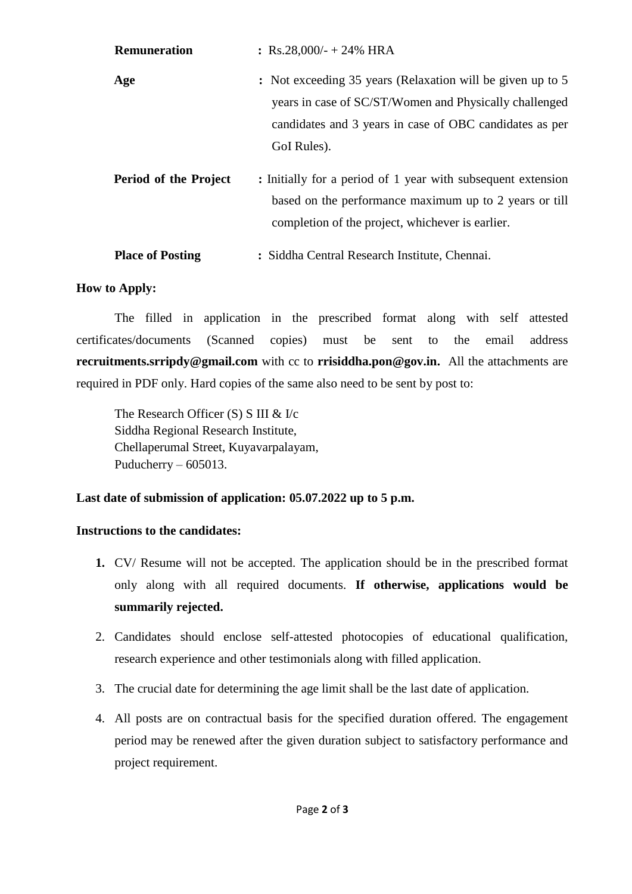| <b>Remuneration</b>          | : Rs.28,000/- + 24% HRA                                                                                                                                                                        |
|------------------------------|------------------------------------------------------------------------------------------------------------------------------------------------------------------------------------------------|
| Age                          | : Not exceeding 35 years (Relaxation will be given up to 5<br>years in case of SC/ST/Women and Physically challenged<br>candidates and 3 years in case of OBC candidates as per<br>GoI Rules). |
| <b>Period of the Project</b> | : Initially for a period of 1 year with subsequent extension<br>based on the performance maximum up to 2 years or till<br>completion of the project, whichever is earlier.                     |
| <b>Place of Posting</b>      | : Siddha Central Research Institute, Chennai.                                                                                                                                                  |

#### **How to Apply:**

The filled in application in the prescribed format along with self attested certificates/documents (Scanned copies) must be sent to the email address **recruitments.srripdy@gmail.com** with cc to **rrisiddha.pon@gov.in.** All the attachments are required in PDF only. Hard copies of the same also need to be sent by post to:

The Research Officer (S) S III & I/c Siddha Regional Research Institute, Chellaperumal Street, Kuyavarpalayam, Puducherry – 605013.

#### **Last date of submission of application: 05.07.2022 up to 5 p.m.**

#### **Instructions to the candidates:**

- **1.** CV/ Resume will not be accepted. The application should be in the prescribed format only along with all required documents. **If otherwise, applications would be summarily rejected.**
- 2. Candidates should enclose self-attested photocopies of educational qualification, research experience and other testimonials along with filled application.
- 3. The crucial date for determining the age limit shall be the last date of application.
- 4. All posts are on contractual basis for the specified duration offered. The engagement period may be renewed after the given duration subject to satisfactory performance and project requirement.